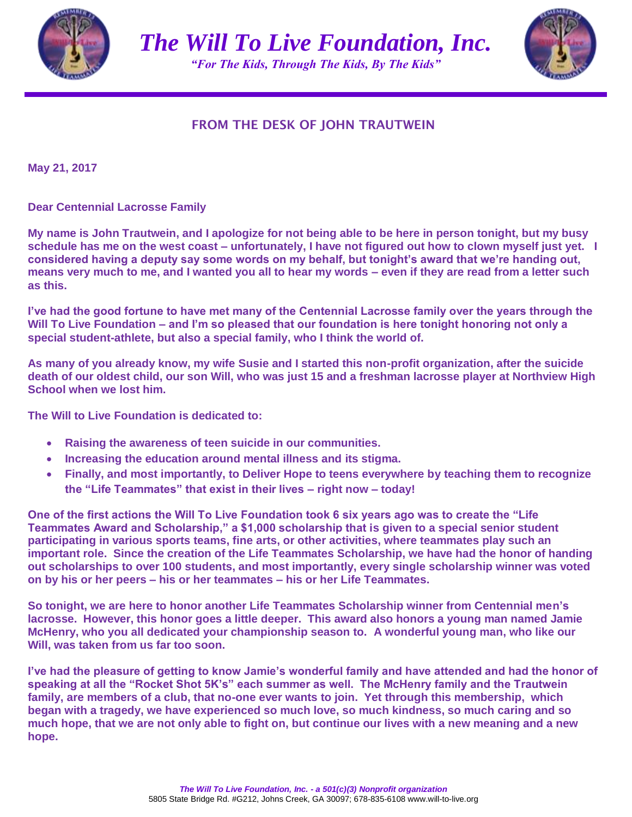

*The Will To Live Foundation, Inc. "For The Kids, Through The Kids, By The Kids"*



## **FROM THE DESK OF JOHN TRAUTWEIN**

**May 21, 2017**

**Dear Centennial Lacrosse Family**

**My name is John Trautwein, and I apologize for not being able to be here in person tonight, but my busy schedule has me on the west coast – unfortunately, I have not figured out how to clown myself just yet. I considered having a deputy say some words on my behalf, but tonight's award that we're handing out, means very much to me, and I wanted you all to hear my words – even if they are read from a letter such as this.**

**I've had the good fortune to have met many of the Centennial Lacrosse family over the years through the Will To Live Foundation – and I'm so pleased that our foundation is here tonight honoring not only a special student-athlete, but also a special family, who I think the world of.**

**As many of you already know, my wife Susie and I started this non-profit organization, after the suicide death of our oldest child, our son Will, who was just 15 and a freshman lacrosse player at Northview High School when we lost him.** 

**The Will to Live Foundation is dedicated to:**

- **Raising the awareness of teen suicide in our communities.**
- **Increasing the education around mental illness and its stigma.**
- **Finally, and most importantly, to Deliver Hope to teens everywhere by teaching them to recognize the "Life Teammates" that exist in their lives – right now – today!**

**One of the first actions the Will To Live Foundation took 6 six years ago was to create the "Life Teammates Award and Scholarship," a \$1,000 scholarship that is given to a special senior student participating in various sports teams, fine arts, or other activities, where teammates play such an important role. Since the creation of the Life Teammates Scholarship, we have had the honor of handing out scholarships to over 100 students, and most importantly, every single scholarship winner was voted on by his or her peers – his or her teammates – his or her Life Teammates.**

**So tonight, we are here to honor another Life Teammates Scholarship winner from Centennial men's lacrosse. However, this honor goes a little deeper. This award also honors a young man named Jamie McHenry, who you all dedicated your championship season to. A wonderful young man, who like our Will, was taken from us far too soon.** 

**I've had the pleasure of getting to know Jamie's wonderful family and have attended and had the honor of speaking at all the "Rocket Shot 5K's" each summer as well. The McHenry family and the Trautwein family, are members of a club, that no-one ever wants to join. Yet through this membership, which began with a tragedy, we have experienced so much love, so much kindness, so much caring and so much hope, that we are not only able to fight on, but continue our lives with a new meaning and a new hope.**